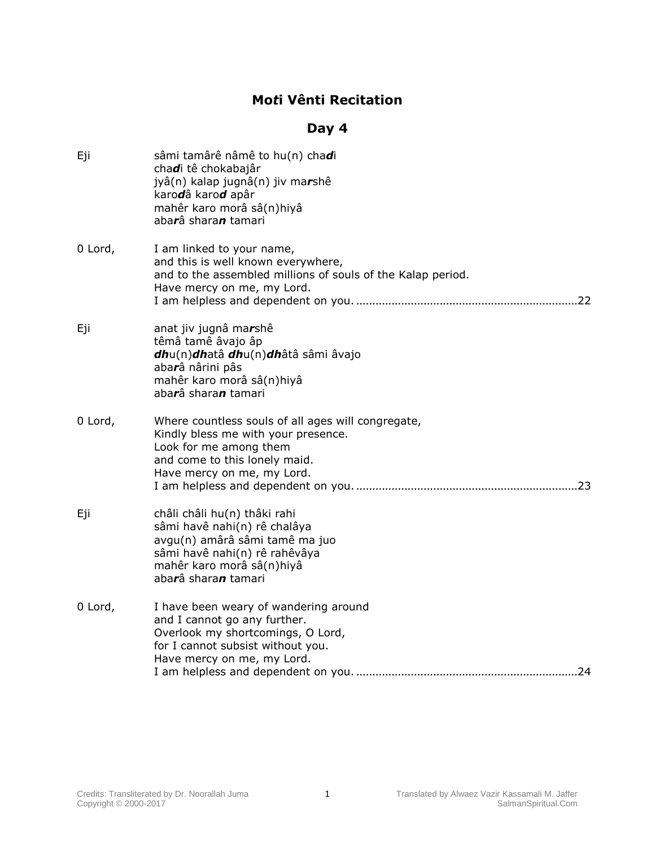## **Mo***t***i Vênti Recitation**

## **Day 4**

| Eji     | sâmi tamârê nâmê to hu(n) chadi<br>chadi tê chokabajâr<br>jyâ(n) kalap jugnâ(n) jiv marshê<br>karodâ karod apâr<br>mahêr karo morâ sâ(n)hiyâ<br>abarâ sharan tamari                 |
|---------|-------------------------------------------------------------------------------------------------------------------------------------------------------------------------------------|
| 0 Lord, | I am linked to your name,<br>and this is well known everywhere,<br>and to the assembled millions of souls of the Kalap period.<br>Have mercy on me, my Lord.                        |
| Eji     | anat jiv jugnâ marshê<br>têmâ tamê âvajo âp<br>dhu(n)dhatâ dhu(n)dhâtâ sâmi âvajo<br>abarâ nârini pâs<br>mahêr karo morâ sâ(n)hiyâ<br>abarâ sharan tamari                           |
| 0 Lord, | Where countless souls of all ages will congregate,<br>Kindly bless me with your presence.<br>Look for me among them<br>and come to this lonely maid.<br>Have mercy on me, my Lord.  |
| Eji     | châli châli hu(n) thâki rahi<br>sâmi havê nahi(n) rê chalâya<br>avgu(n) amârâ sâmi tamê ma juo<br>sâmi havê nahi(n) rê rahêvâya<br>mahêr karo morâ sâ(n)hiyâ<br>abarâ sharan tamari |
| 0 Lord, | I have been weary of wandering around<br>and I cannot go any further.<br>Overlook my shortcomings, O Lord,<br>for I cannot subsist without you.<br>Have mercy on me, my Lord.       |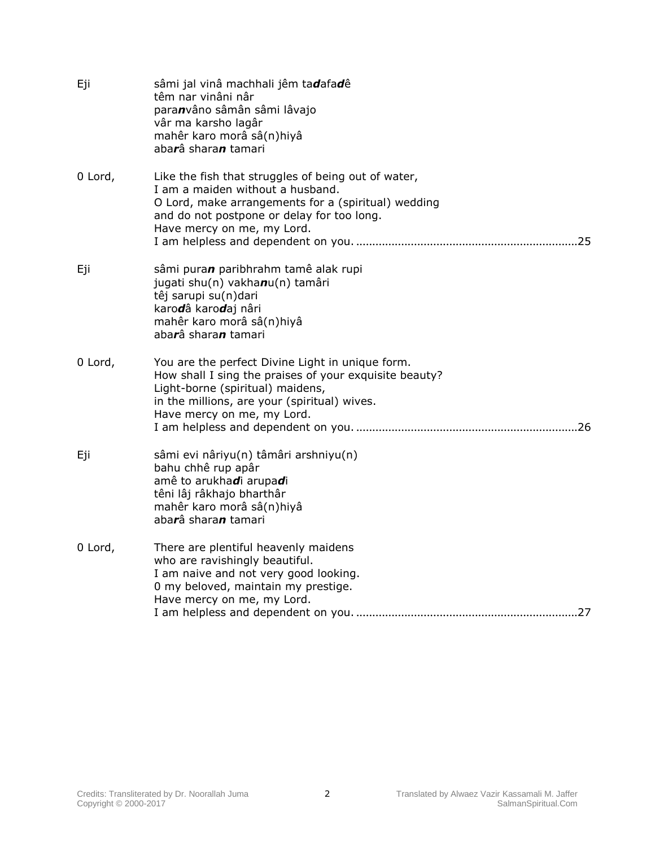| Eji     | sâmi jal vinâ machhali jêm tadafadê<br>têm nar vinâni nâr<br>paranvâno sâmân sâmi lâvajo<br>vâr ma karsho lagâr<br>mahêr karo morâ sâ(n)hiyâ<br>abarâ sharan tamari                                                          |
|---------|------------------------------------------------------------------------------------------------------------------------------------------------------------------------------------------------------------------------------|
| 0 Lord, | Like the fish that struggles of being out of water,<br>I am a maiden without a husband.<br>O Lord, make arrangements for a (spiritual) wedding<br>and do not postpone or delay for too long.<br>Have mercy on me, my Lord.   |
| Eji     | sâmi puran paribhrahm tamê alak rupi<br>jugati shu(n) vakhanu(n) tamâri<br>têj sarupi su(n)dari<br>karodâ karodaj nâri<br>mahêr karo morâ sâ(n)hiyâ<br>abarâ sharan tamari                                                   |
| 0 Lord, | You are the perfect Divine Light in unique form.<br>How shall I sing the praises of your exquisite beauty?<br>Light-borne (spiritual) maidens,<br>in the millions, are your (spiritual) wives.<br>Have mercy on me, my Lord. |
| Eji     | sâmi evi nâriyu(n) tâmâri arshniyu(n)<br>bahu chhê rup apâr<br>amê to arukhadi arupadi<br>têni lâj râkhajo bharthâr<br>mahêr karo morâ sâ(n)hiyâ<br>abarâ sharan tamari                                                      |
| 0 Lord, | There are plentiful heavenly maidens<br>who are ravishingly beautiful.<br>I am naive and not very good looking.<br>0 my beloved, maintain my prestige.<br>Have mercy on me, my Lord.                                         |